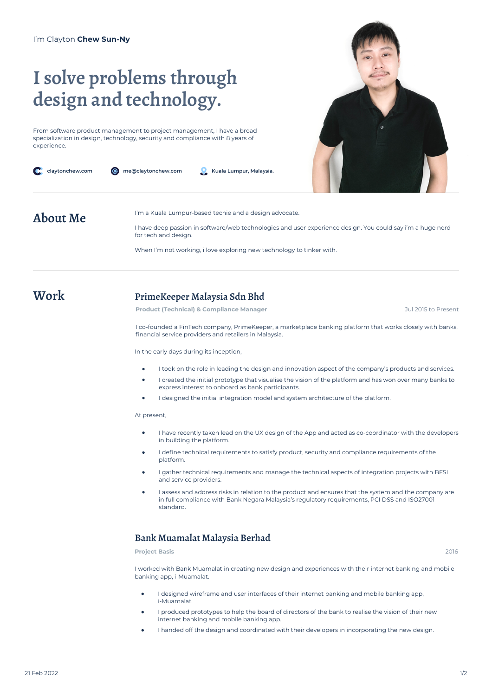# **I solve problems through design and technology.**

From software product management to project management, I have a broad specialization in design, technology, security and compliance with 8 years of experience.

| claytonchew.com | me@claytonchew.com<br>Kuala Lumpur, Malaysia.<br>'@                                                                                |  |  |
|-----------------|------------------------------------------------------------------------------------------------------------------------------------|--|--|
| About Me        | I'm a Kuala Lumpur-based techie and a design advocate.                                                                             |  |  |
|                 | I have deep passion in software/web technologies and user experience design. You could say i'm a huge nerd<br>for tech and design. |  |  |

When I'm not working, i love exploring new technology to tinker with.

### **Work PrimeKeeper Malaysia Sdn Bhd**

**Product (Technical) & Compliance Manager** Jul 2015 to Present

I co-founded a FinTech company, PrimeKeeper, a marketplace banking platform that works closely with banks, financial service providers and retailers in Malaysia.

In the early days during its inception,

- I took on the role in leading the design and innovation aspect of the company's products and services.
- I created the initial prototype that visualise the vision of the platform and has won over many banks to express interest to onboard as bank participants.
- I designed the initial integration model and system architecture of the platform.

At present,

- $\bullet$ I have recently taken lead on the UX design of the App and acted as co-coordinator with the developers in building the platform.
- I define technical requirements to satisfy product, security and compliance requirements of the platform.
- I gather technical requirements and manage the technical aspects of integration projects with BFSI and service providers.
- I assess and address risks in relation to the product and ensures that the system and the company are in full compliance with Bank Negara Malaysia's regulatory requirements, PCI DSS and ISO27001 standard.

#### **Bank Muamalat Malaysia Berhad**

**Project Basis** 2016

I worked with Bank Muamalat in creating new design and experiences with their internet banking and mobile banking app, i-Muamalat.

- I designed wireframe and user interfaces of their internet banking and mobile banking app, i-Muamalat.
- I produced prototypes to help the board of directors of the bank to realise the vision of their new internet banking and mobile banking app.
- I handed off the design and coordinated with their developers in incorporating the new design.